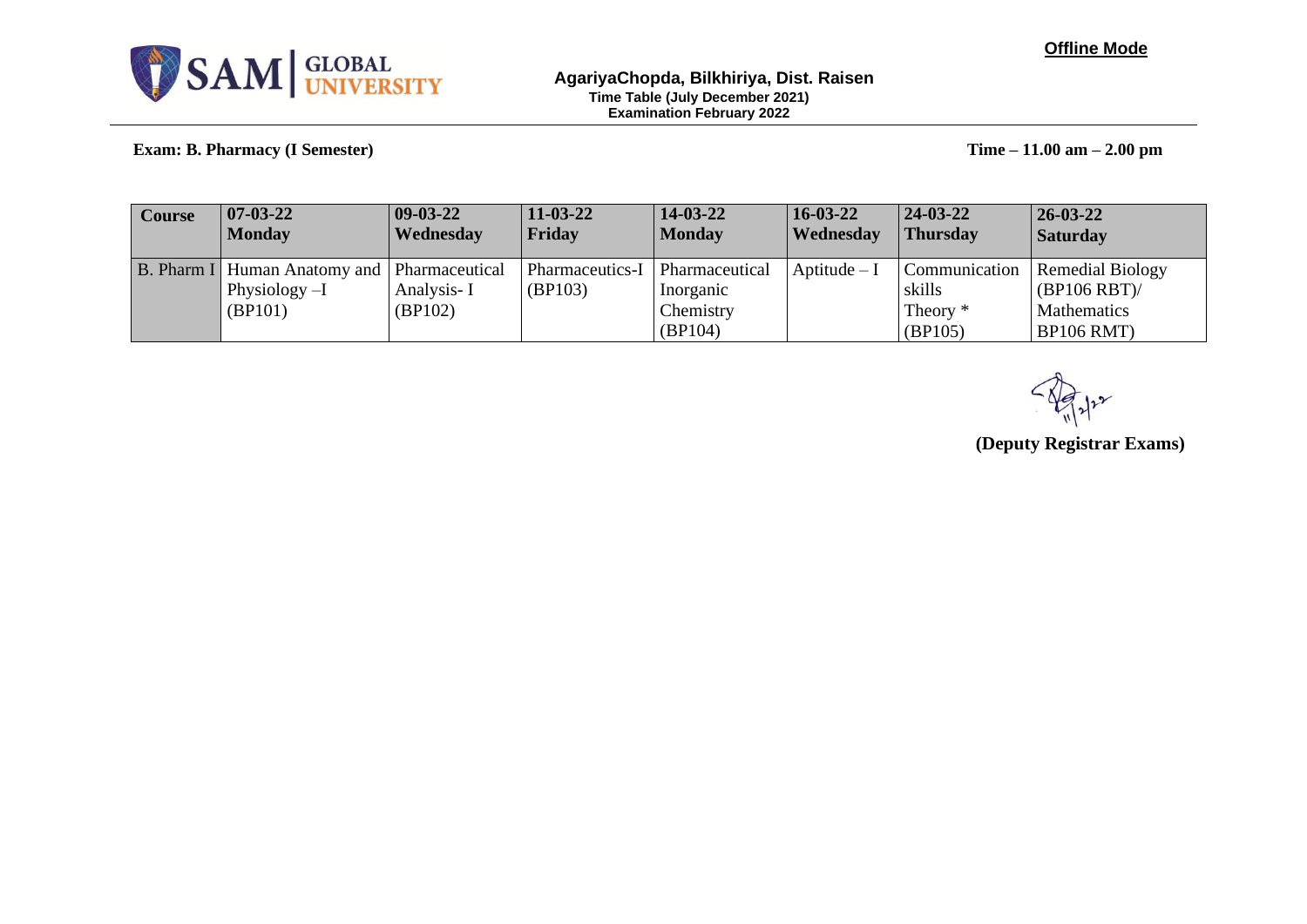

### **AgariyaChopda, Bilkhiriya, Dist. Raisen Time Table (July December 2021) Examination February 2022**

**Exam: B. Pharmacy (I Semester) Time – 11.00 am – 2.00 pm**

| Course | $ 07-03-22 $<br>  Monday                                           | $09-03-22$<br>Wednesday | $11 - 03 - 22$<br>Friday   | $14-03-22$<br>  Monday             | $16 - 03 - 22$<br><b>Wednesday</b> | $ 24-03-22 $<br><b>Thursday</b> | $26 - 03 - 22$<br><i><b>Saturday</b></i> |
|--------|--------------------------------------------------------------------|-------------------------|----------------------------|------------------------------------|------------------------------------|---------------------------------|------------------------------------------|
|        | B. Pharm I   Human Anatomy and   Pharmaceutical<br>Physiology $-I$ | Analysis-I              | Pharmaceutics-I<br>(BP103) | <b>Pharmaceutical</b><br>Inorganic | Aptitude $-I$                      | <b>Communication</b><br>skills  | <b>Remedial Biology</b><br>(BP106 RBT)   |
|        | (BP101)                                                            | (BP102)                 |                            | Chemistry<br>(BP104)               |                                    | Theory *<br>(BP105)             | Mathematics<br><b>BP106 RMT</b> )        |

**(Deputy Registrar Exams)**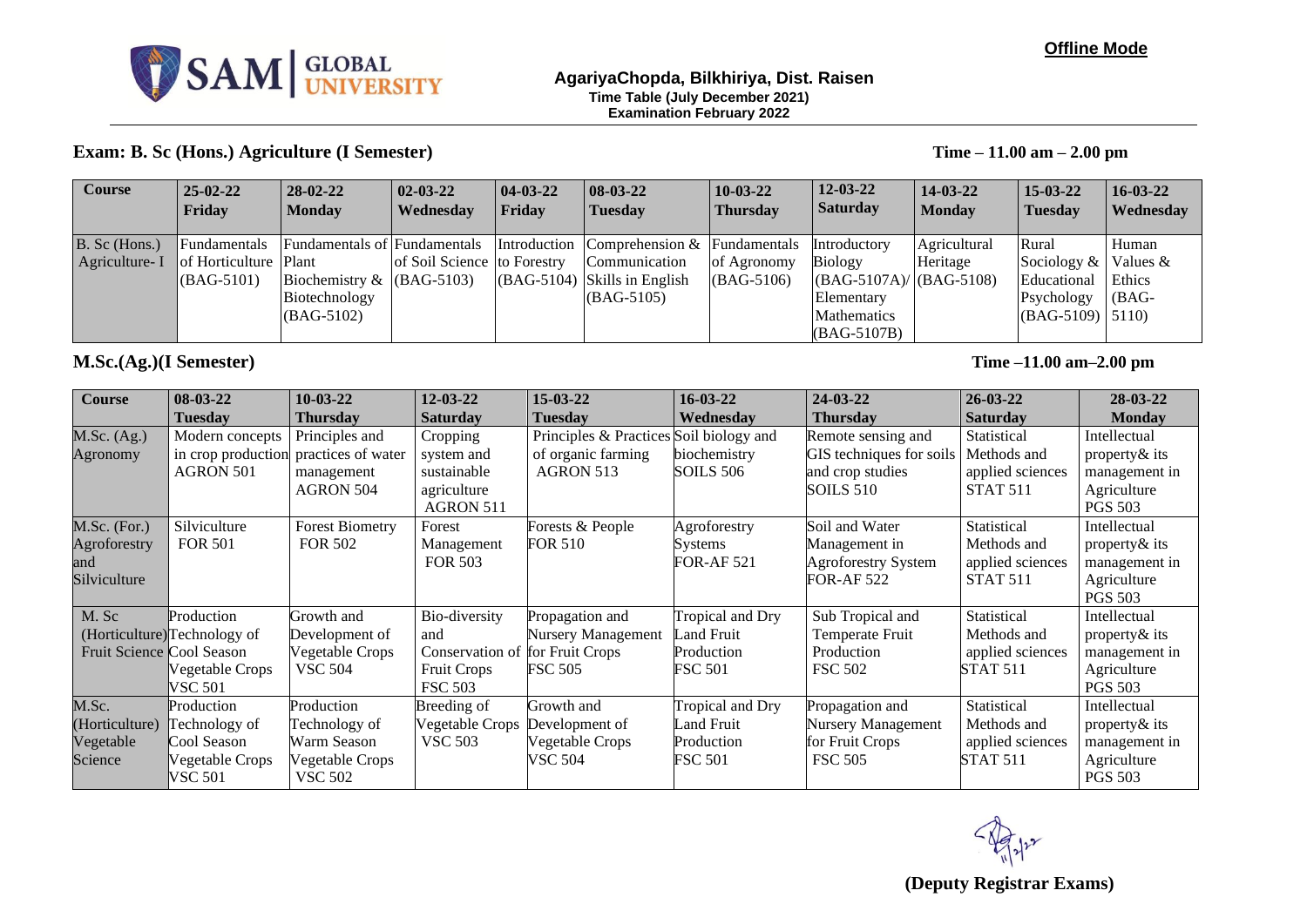

### **Offline Mode**

### **AgariyaChopda, Bilkhiriya, Dist. Raisen Time Table (July December 2021) Examination February 2022**

### **Exam: B. Sc (Hons.) Agriculture (I Semester) Time – 11.00 am – 2.00 pm**

| <b>Course</b> | $ 25-02-22 $                 | $28-02-22$                   | $ 02-03-22 $                | $ 04-03-22 $ | $ 08-03-22 $                              | $10-03-22$      | $12 - 03 - 22$                | $14 - 03 - 22$ | $15 - 03 - 22$     | $16 - 03 - 22$ |
|---------------|------------------------------|------------------------------|-----------------------------|--------------|-------------------------------------------|-----------------|-------------------------------|----------------|--------------------|----------------|
|               | <b>Friday</b>                | <b>Monday</b>                | Wednesday                   | Friday       | <b>Tuesday</b>                            | <b>Thursday</b> | <i>Saturday</i>               | <b>Monday</b>  | <b>Tuesday</b>     | Wednesday      |
|               |                              |                              |                             |              |                                           |                 |                               |                |                    |                |
| B. Sc (Hons.) | <b>Fundamentals</b>          | Fundamentals of Fundamentals |                             |              | Introduction Comprehension & Fundamentals |                 | Introductory                  | Agricultural   | Rural              | Human          |
| Agriculture-I | <b>of Horticulture Plant</b> |                              | of Soil Science to Forestry |              | Communication                             | of Agronomy     | <b>Biology</b>                | Heritage       | Sociology $\&$     | Values $&$     |
|               | $\vert$ (BAG-5101)           | Biochemistry $\&$ (BAG-5103) |                             |              | $(GAG-5104)$ Skills in English            | $(BAG-5106)$    | $  (BAG-5107A)/   (BAG-5108)$ |                | Educational        | Ethics         |
|               |                              | Biotechnology                |                             |              | $(BAG-5105)$                              |                 | Elementary                    |                | Psychology         | $(BAG -$       |
|               |                              | $(BAG-5102)$                 |                             |              |                                           |                 | <b>Mathematics</b>            |                | $(BAG-5109)$ 5110) |                |
|               |                              |                              |                             |              |                                           |                 | $(BAG-5107B)$                 |                |                    |                |

### **M.Sc.(Ag.)(I Semester) Time –11.00 am–2.00 pm**

| <b>Course</b>             | $08-03-22$                   | $10-03-22$             | $12 - 03 - 22$                  | 15-03-22                                | $16 - 03 - 22$   | $24 - 03 - 22$            | $26 - 03 - 22$   | $28 - 03 - 22$ |
|---------------------------|------------------------------|------------------------|---------------------------------|-----------------------------------------|------------------|---------------------------|------------------|----------------|
|                           | <b>Tuesday</b>               | Thursday               | <b>Saturday</b>                 | <b>Tuesday</b>                          | Wednesday        | <b>Thursday</b>           | <b>Saturday</b>  | <b>Monday</b>  |
| M.Sc. (Ag.)               | Modern concepts              | Principles and         | Cropping                        | Principles & Practices Soil biology and |                  | Remote sensing and        | Statistical      | Intellectual   |
| Agronomy                  | in crop production           | practices of water     | system and                      | of organic farming                      | biochemistry     | GIS techniques for soils  | Methods and      | property & its |
|                           | <b>AGRON 501</b>             | management             | sustainable                     | AGRON 513                               | SOILS 506        | and crop studies          | applied sciences | management in  |
|                           |                              | AGRON 504              | agriculture                     |                                         |                  | SOILS 510                 | <b>STAT 511</b>  | Agriculture    |
|                           |                              |                        | AGRON 511                       |                                         |                  |                           |                  | <b>PGS 503</b> |
| $M.Sc.$ (For.)            | Silviculture                 | <b>Forest Biometry</b> | Forest                          | Forests & People                        | Agroforestry     | Soil and Water            | Statistical      | Intellectual   |
| Agroforestry              | <b>FOR 501</b>               | <b>FOR 502</b>         | Management                      | FOR 510                                 | Systems          | Management in             | Methods and      | property & its |
| and                       |                              |                        | <b>FOR 503</b>                  |                                         | <b>FOR-AF521</b> | Agroforestry System       | applied sciences | management in  |
| Silviculture              |                              |                        |                                 |                                         |                  | FOR-AF 522                | <b>STAT 511</b>  | Agriculture    |
|                           |                              |                        |                                 |                                         |                  |                           |                  | <b>PGS 503</b> |
| M. Sc                     | Production                   | Growth and             | Bio-diversity                   | Propagation and                         | Tropical and Dry | Sub Tropical and          | Statistical      | Intellectual   |
|                           | (Horticulture) Technology of | Development of         | and                             | Nursery Management                      | and Fruit        | Temperate Fruit           | Methods and      | property & its |
| Fruit Science Cool Season |                              | Vegetable Crops        | Conservation of for Fruit Crops |                                         | Production       | Production                | applied sciences | management in  |
|                           | Vegetable Crops              | <b>VSC 504</b>         | <b>Fruit Crops</b>              | <b>FSC 505</b>                          | <b>FSC 501</b>   | <b>FSC 502</b>            | <b>STAT 511</b>  | Agriculture    |
|                           | VSC 501                      |                        | <b>FSC 503</b>                  |                                         |                  |                           |                  | <b>PGS 503</b> |
| M.Sc.                     | Production                   | Production             | Breeding of                     | Growth and                              | Tropical and Dry | Propagation and           | Statistical      | Intellectual   |
| (Horticulture)            | Technology of                | Technology of          | Vegetable Crops                 | Development of                          | Land Fruit       | <b>Nursery Management</b> | Methods and      | property & its |
| Vegetable                 | Cool Season                  | Warm Season            | <b>VSC 503</b>                  | Vegetable Crops                         | Production       | for Fruit Crops           | applied sciences | management in  |
| Science                   | Vegetable Crops              | Vegetable Crops        |                                 | VSC 504                                 | <b>FSC 501</b>   | <b>FSC 505</b>            | <b>STAT 511</b>  | Agriculture    |
|                           | VSC 501                      | <b>VSC 502</b>         |                                 |                                         |                  |                           |                  | <b>PGS 503</b> |

**(Deputy Registrar Exams)**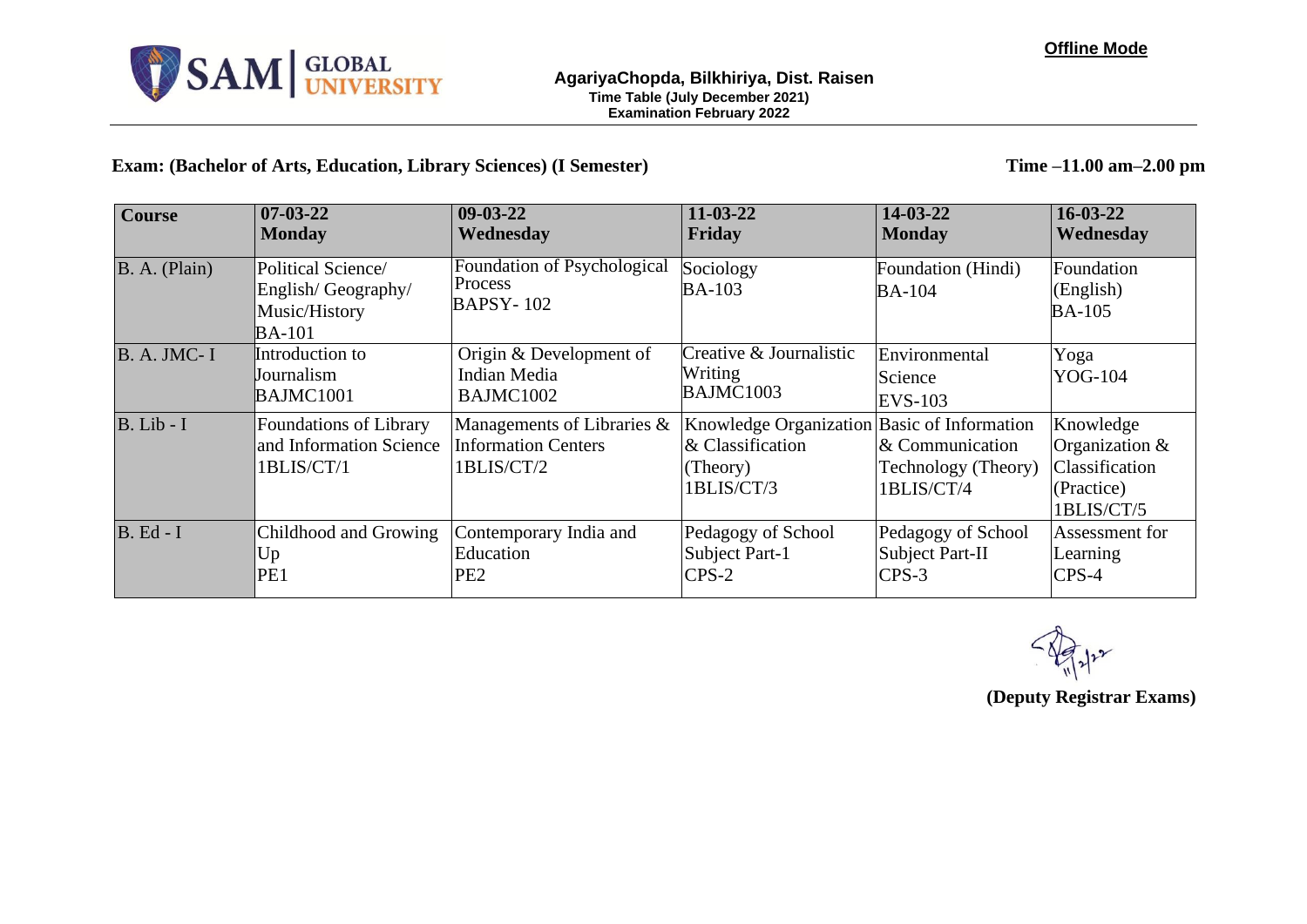

**Exam: (Bachelor of Arts, Education, Library Sciences) (I Semester) Time –11.00 am–2.00 pm**

| <b>Course</b>      | $07 - 03 - 22$<br><b>Monday</b>                                            | $09-03-22$<br>Wednesday                                                | $11 - 03 - 22$<br>Friday                                                                     | 14-03-22<br><b>Monday</b>                            | $16 - 03 - 22$<br>Wednesday                                               |
|--------------------|----------------------------------------------------------------------------|------------------------------------------------------------------------|----------------------------------------------------------------------------------------------|------------------------------------------------------|---------------------------------------------------------------------------|
| B. A. (Plain)      | Political Science/<br>English/Geography/<br>Music/History<br><b>BA-101</b> | Foundation of Psychological<br>Process<br><b>BAPSY-102</b>             | Sociology<br><b>BA-103</b>                                                                   | Foundation (Hindi)<br><b>BA-104</b>                  | Foundation<br>(English)<br><b>BA-105</b>                                  |
| <b>B. A. JMC-I</b> | Introduction to<br><b>Journalism</b><br><b>BAJMC1001</b>                   | Origin & Development of<br><b>Indian Media</b><br>BAJMC1002            | Creative & Journalistic<br>Writing<br>BAJMC1003                                              | Environmental<br>Science<br><b>EVS-103</b>           | Yoga<br><b>YOG-104</b>                                                    |
| $B. Lib - I$       | Foundations of Library<br>and Information Science<br>1BLIS/CT/1            | Managements of Libraries &<br><b>Information Centers</b><br>1BLIS/CT/2 | Knowledge Organization Basic of Information<br>$\&$ Classification<br>(Theory)<br>1BLIS/CT/3 | & Communication<br>Technology (Theory)<br>1BLIS/CT/4 | Knowledge<br>Organization &<br>Classification<br>(Practice)<br>1BLIS/CT/5 |
| $B. Ed - I$        | Childhood and Growing<br>Up<br>PE <sub>1</sub>                             | Contemporary India and<br>Education<br>PE <sub>2</sub>                 | Pedagogy of School<br>Subject Part-1<br>$CPS-2$                                              | Pedagogy of School<br>Subject Part-II<br>$CPS-3$     | Assessment for<br>Learning<br>$CPS-4$                                     |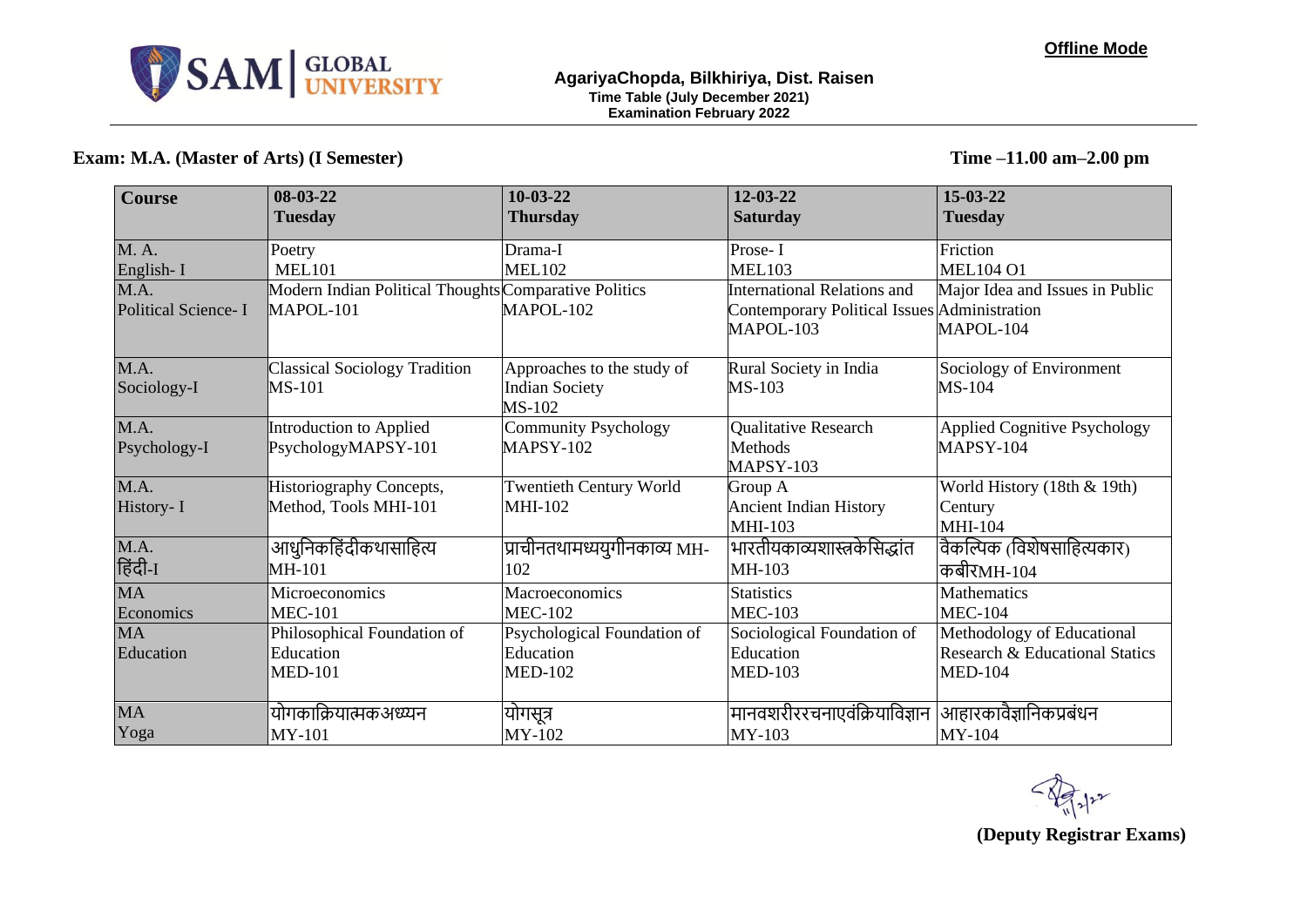

## **Exam: M.A. (Master of Arts) (I Semester) Time –11.00 am–2.00 pm**

| <b>Course</b>              | 08-03-22<br><b>Tuesday</b>                            | $10-03-22$<br><b>Thursday</b>  | $12 - 03 - 22$<br><b>Saturday</b>            | 15-03-22<br><b>Tuesday</b>          |
|----------------------------|-------------------------------------------------------|--------------------------------|----------------------------------------------|-------------------------------------|
|                            |                                                       |                                |                                              |                                     |
| M. A.                      | Poetry                                                | Drama-I                        | Prose-I                                      | Friction                            |
| English-I                  | <b>MEL101</b>                                         | <b>MEL102</b>                  | <b>MEL103</b>                                | <b>MEL104 O1</b>                    |
| M.A.                       | Modern Indian Political Thoughts Comparative Politics |                                | <b>International Relations and</b>           | Major Idea and Issues in Public     |
| <b>Political Science-I</b> | MAPOL-101                                             | MAPOL-102                      | Contemporary Political Issues Administration |                                     |
|                            |                                                       |                                | MAPOL-103                                    | MAPOL-104                           |
| M.A.                       | <b>Classical Sociology Tradition</b>                  | Approaches to the study of     | Rural Society in India                       | Sociology of Environment            |
| Sociology-I                | MS-101                                                | <b>Indian Society</b>          | MS-103                                       | $MS-104$                            |
|                            |                                                       | MS-102                         |                                              |                                     |
| M.A.                       | Introduction to Applied                               | <b>Community Psychology</b>    | Qualitative Research                         | <b>Applied Cognitive Psychology</b> |
| Psychology-I               | PsychologyMAPSY-101                                   | <b>MAPSY-102</b>               | Methods                                      | MAPSY-104                           |
|                            |                                                       |                                | MAPSY-103                                    |                                     |
| M.A.                       | Historiography Concepts,                              | <b>Twentieth Century World</b> | Group A                                      | World History (18th & 19th)         |
| History-I                  | Method, Tools MHI-101                                 | MHI-102                        | <b>Ancient Indian History</b>                | Century                             |
|                            |                                                       |                                | <b>MHI-103</b>                               | <b>MHI-104</b>                      |
| M.A.                       | आधुनिकहिंदीकथासाहित्य                                 | प्राचीनतथामध्ययुगीनकाव्य MH-   | भारतीयकाव्यशास्त्रकेसिद्धांत                 | वैकल्पिक (विशेषसाहित्यकार)          |
| हिंदी-1                    | $MH-101$                                              | 102                            | MH-103                                       | कबीरMH-104                          |
| <b>MA</b>                  | Microeconomics                                        | Macroeconomics                 | <b>Statistics</b>                            | <b>Mathematics</b>                  |
| Economics                  | <b>MEC-101</b>                                        | <b>MEC-102</b>                 | <b>MEC-103</b>                               | <b>MEC-104</b>                      |
| <b>MA</b>                  | Philosophical Foundation of                           | Psychological Foundation of    | Sociological Foundation of                   | Methodology of Educational          |
| Education                  | Education                                             | Education                      | Education                                    | Research & Educational Statics      |
|                            | <b>MED-101</b>                                        | <b>MED-102</b>                 | <b>MED-103</b>                               | <b>MED-104</b>                      |
|                            |                                                       |                                |                                              |                                     |
| <b>MA</b>                  | योगकाक्रियात्मकअध्यन                                  | ।योगसूत्र                      | मानवशरीररचनाएवंक्रियाविज्ञान                 | आहारकावैज्ञानिकप्रबंधन              |
| Yoga                       | <b>MY-101</b>                                         | MY-102                         | MY-103                                       | MY-104                              |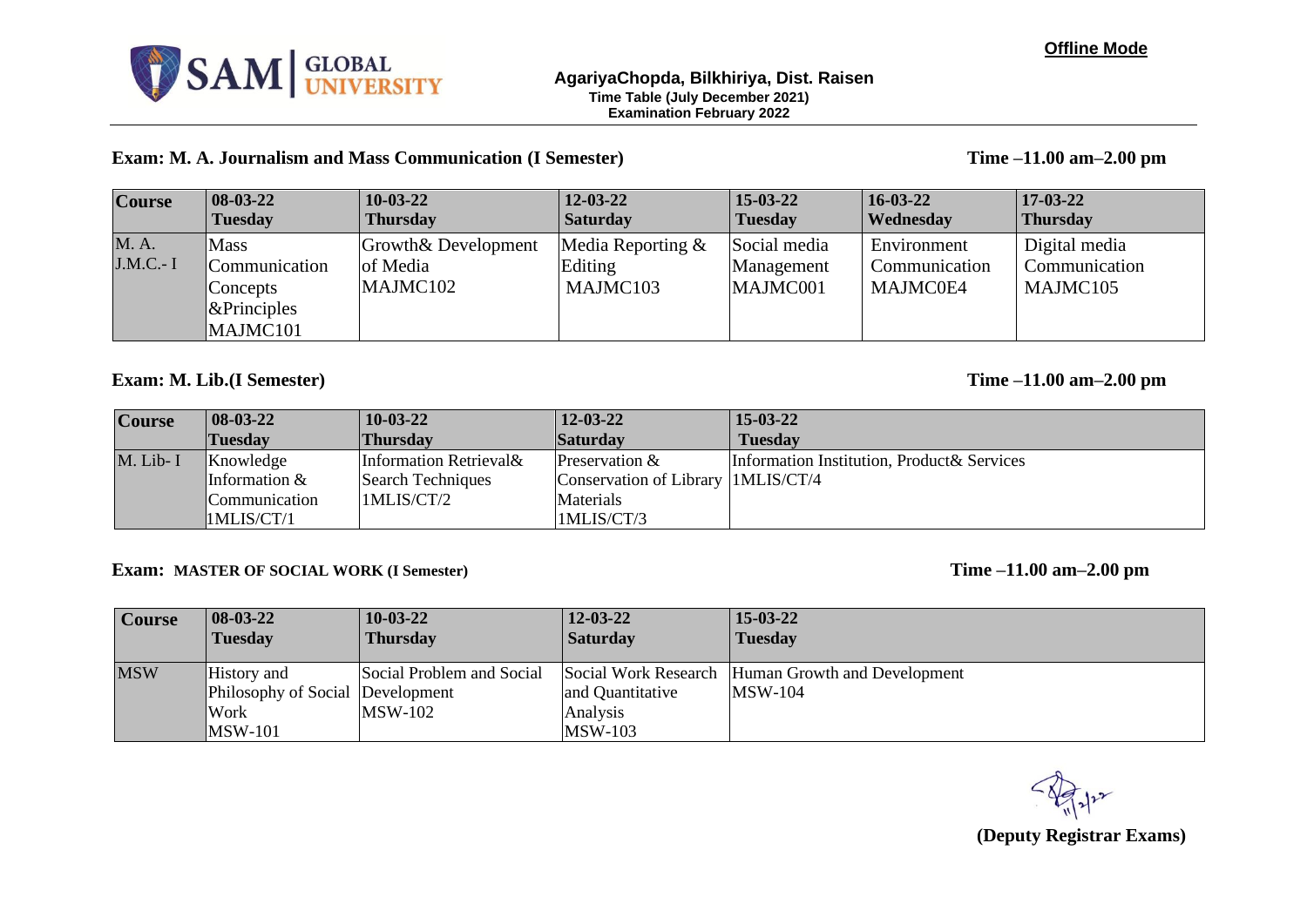

### **Exam: M. A. Journalism and Mass Communication (I Semester) Time –11.00 am–2.00 pm**

| <b>Course</b>           | $ 08-03-22 $                                                            | $10-03-22$                                  | $12 - 03 - 22$                             | $15-03-22$                             | $16 - 03 - 22$                           | $17 - 03 - 22$                             |
|-------------------------|-------------------------------------------------------------------------|---------------------------------------------|--------------------------------------------|----------------------------------------|------------------------------------------|--------------------------------------------|
|                         | <b>Tuesday</b>                                                          | <b>Thursday</b>                             | <b>Saturday</b>                            | <b>Tuesday</b>                         | <b>Wednesday</b>                         | <b>Thursday</b>                            |
| <b>M.A.</b><br>J.M.C.-I | <b>Mass</b><br>Communication<br>Concepts<br>$\&$ Principles<br>MAJMC101 | Growth& Development<br>of Media<br>MAJMC102 | Media Reporting $&$<br>Editing<br>MAJMC103 | Social media<br>Management<br>MAJMC001 | Environment<br>Communication<br>MAJMC0E4 | Digital media<br>Communication<br>MAJMC105 |

### **Exam: M. Lib.(I Semester) Time –11.00 am–2.00 pm**

| <b>Course</b> | $ 08-03-22 $    | $10-03-22$             | 12-03-22                              | $15 - 03 - 22$                              |
|---------------|-----------------|------------------------|---------------------------------------|---------------------------------------------|
|               | <b>Tuesday</b>  | <b>Thursday</b>        | <b>Saturday</b>                       | <b>Tuesday</b>                              |
| M. Lib-I      | Knowledge       | Information Retrieval& | Preservation &                        | Information Institution, Product & Services |
|               | Information $&$ | Search Techniques      | Conservation of Library   1 MLIS/CT/4 |                                             |
|               | Communication   | IMLIS/CT/2             | Materials                             |                                             |
|               | 1MLIS/CT/1      |                        | 1MLIS/CT/3                            |                                             |

### **Exam: MASTER OF SOCIAL WORK (I Semester) Time –11.00 am–2.00 pm**

| <b>Course</b> | $ 08-03-22 $                                            | $10-03-22$                             | $12 - 03 - 22$               | $15 - 03 - 22$                                                      |
|---------------|---------------------------------------------------------|----------------------------------------|------------------------------|---------------------------------------------------------------------|
|               | <b>Tuesday</b>                                          | <b>Thursday</b>                        | <b>Saturday</b>              | <b>Tuesday</b>                                                      |
| <b>MSW</b>    | History and<br>Philosophy of Social Development<br>Work | Social Problem and Social<br>$MSW-102$ | and Quantitative<br>Analysis | Social Work Research Human Growth and Development<br><b>MSW-104</b> |
|               | <b>MSW-101</b>                                          |                                        | <b>MSW-103</b>               |                                                                     |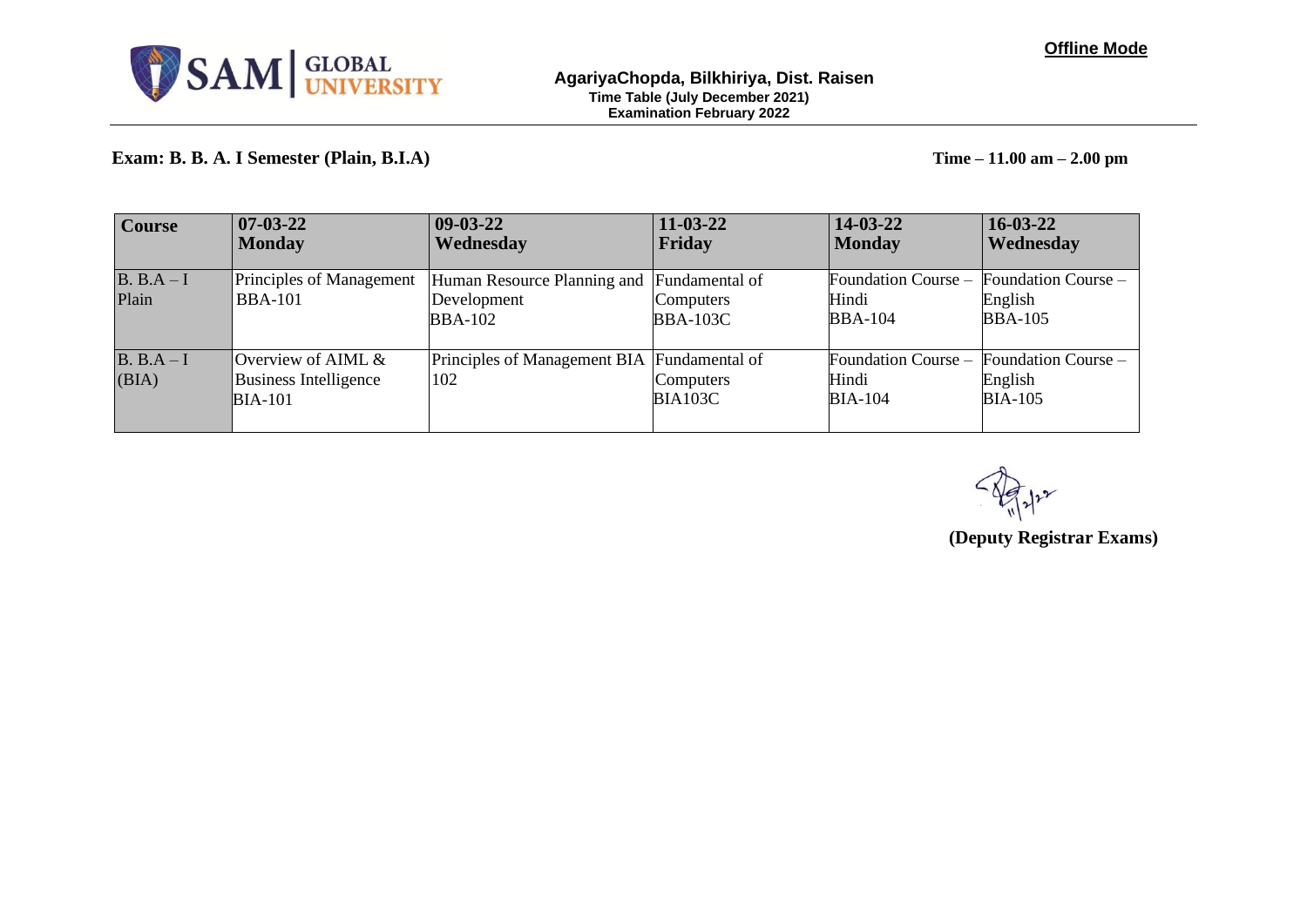

## **Exam: B. B. A. I Semester (Plain, B.I.A) Time – 11.00 am – 2.00 pm**

| <b>Course</b>       | $07 - 03 - 22$<br><b>Monday</b>                               | $ 09-03-22 $<br>Wednesday                                                   | $11-03-22$<br>Friday         | $14 - 03 - 22$<br><b>Monday</b>                | $16 - 03 - 22$<br>Wednesday                      |
|---------------------|---------------------------------------------------------------|-----------------------------------------------------------------------------|------------------------------|------------------------------------------------|--------------------------------------------------|
| $B. B.A-I$<br>Plain | Principles of Management<br><b>BBA-101</b>                    | Human Resource Planning and Fundamental of<br>Development<br><b>BBA-102</b> | Computers<br><b>BBA-103C</b> | Foundation Course -<br>Hindi<br><b>BBA-104</b> | Foundation Course –<br>English<br><b>BBA-105</b> |
| $B. B.A-I$<br>(BIA) | Overview of AIML &<br>Business Intelligence<br><b>BIA-101</b> | Principles of Management BIA Fundamental of<br>102                          | Computers<br><b>BIA103C</b>  | Foundation Course –<br>Hindi<br><b>BIA-104</b> | Foundation Course –<br>English<br><b>BIA-105</b> |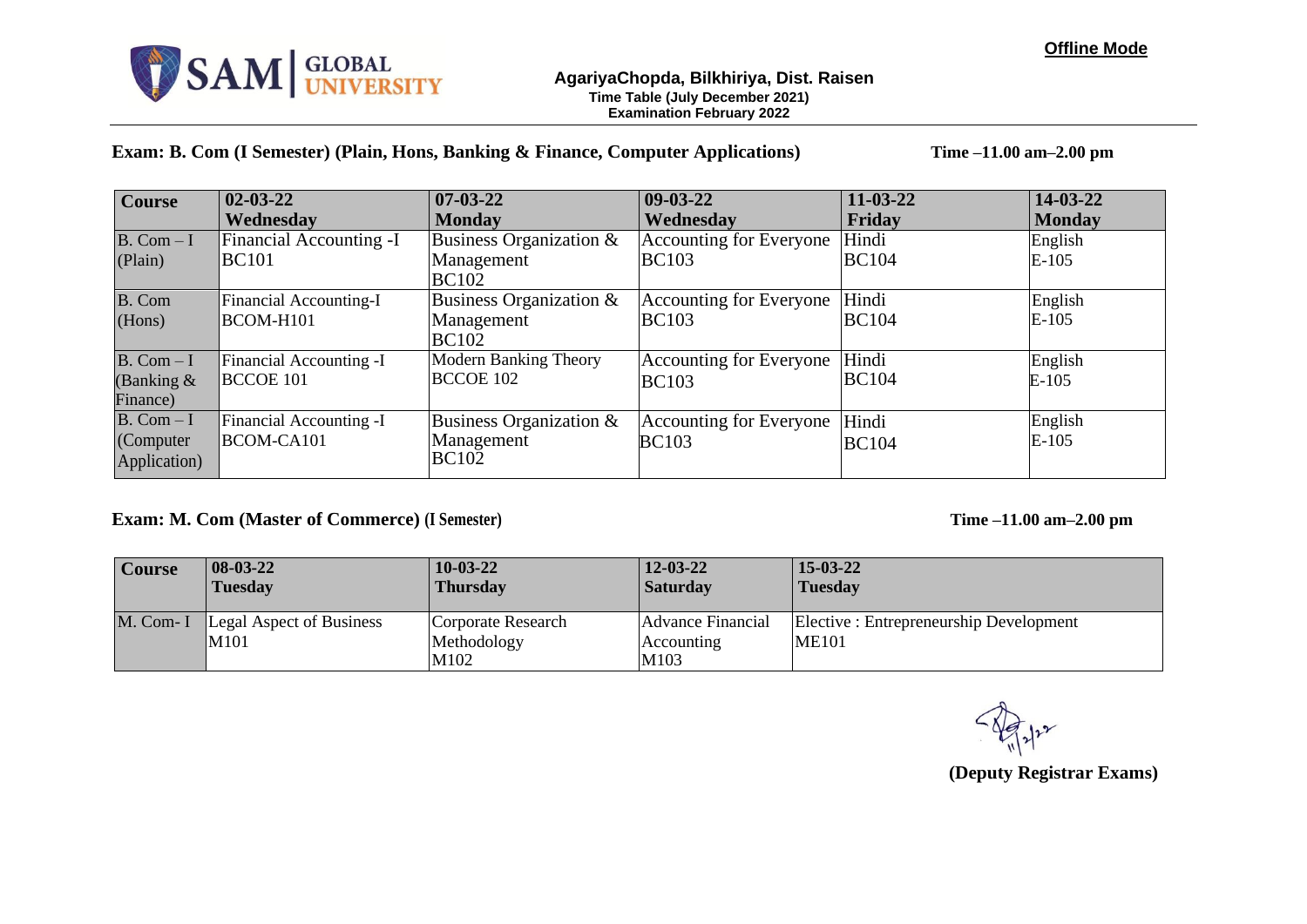### **AgariyaChopda, Bilkhiriya, Dist. Raisen Time Table (July December 2021) Examination February 2022**

**Exam: B. Com (I Semester) (Plain, Hons, Banking & Finance, Computer Applications) Time –11.00 am–2.00 pm**

| <b>Course</b>            | $02 - 03 - 22$                 | $07 - 03 - 22$               | $ 09-03-22 $                   | $11 - 03 - 22$ | $14 - 03 - 22$ |
|--------------------------|--------------------------------|------------------------------|--------------------------------|----------------|----------------|
|                          | Wednesday                      | <b>Monday</b>                | Wednesdav                      | Friday         | <b>Monday</b>  |
| $B. Com-I$               | <b>Financial Accounting -I</b> | Business Organization &      | Accounting for Everyone        | Hindi          | English        |
| (Plain)                  | <b>BC101</b>                   | Management                   | <b>BC103</b>                   | <b>BC104</b>   | $E-105$        |
|                          |                                | <b>BC102</b>                 |                                |                |                |
| B. Com                   | Financial Accounting-I         | Business Organization $&$    | <b>Accounting for Everyone</b> | Hindi          | English        |
| (Hons)                   | BCOM-H101                      | Management                   | <b>BC103</b>                   | <b>BC104</b>   | $E-105$        |
|                          |                                | <b>BC102</b>                 |                                |                |                |
| $B. Com-I$               | <b>Financial Accounting -I</b> | <b>Modern Banking Theory</b> | Accounting for Everyone        | Hindi          | English        |
| (Banking $\&$            | <b>BCCOE 101</b>               | <b>BCCOE 102</b>             | <b>BC103</b>                   | <b>BC104</b>   | $E-105$        |
| Finance)                 |                                |                              |                                |                |                |
| $\overline{B}$ . Com - I | Financial Accounting -I        | Business Organization &      | Accounting for Everyone        | Hindi          | English        |
| (Computer                | BCOM-CA101                     | Management                   | <b>BC103</b>                   | <b>BC104</b>   | $E-105$        |
| Application)             |                                | BC10 <sub>2</sub>            |                                |                |                |
|                          |                                |                              |                                |                |                |

## **Exam: M. Com (Master of Commerce) (I Semester) Time –11.00 am–2.00 pm**

| <b>Course</b> | $ 08-03-22 $                            | $10-03-22$                                | $12 - 03 - 22$                          | $15-03-22$                                              |
|---------------|-----------------------------------------|-------------------------------------------|-----------------------------------------|---------------------------------------------------------|
|               | <b>Tuesday</b>                          | <b>Thursday</b>                           | <b>Saturday</b>                         | <b>Tuesday</b>                                          |
| $M.$ Com- I   | <b>Legal Aspect of Business</b><br>M101 | Corporate Research<br>Methodology<br>M102 | Advance Financial<br>Accounting<br>M103 | Elective : Entrepreneurship Development<br><b>ME101</b> |

**(Deputy Registrar Exams)**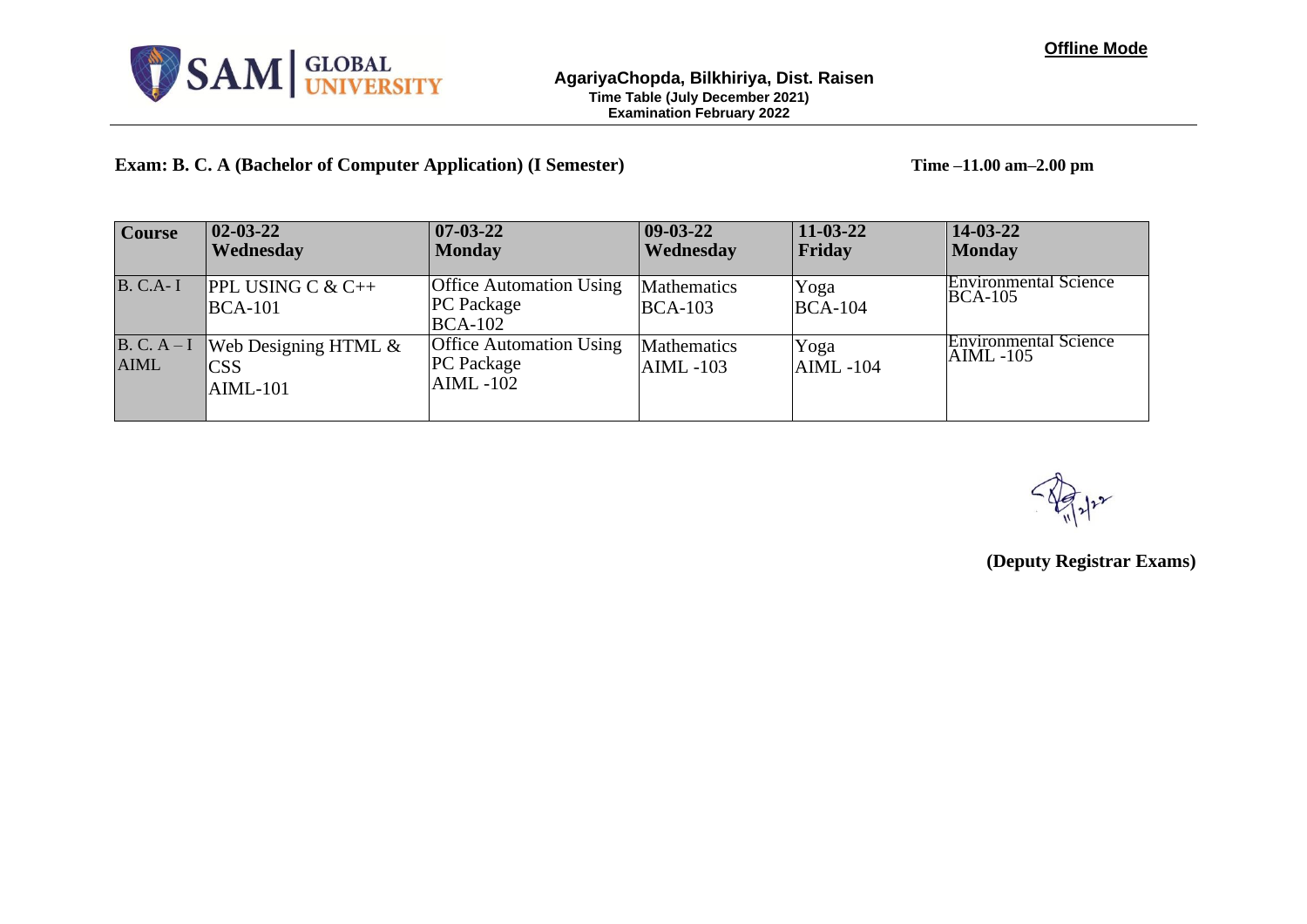

**Exam: B. C. A (Bachelor of Computer Application) (I Semester) Time –11.00 am–2.00 pm**

| <b>Course</b>              | $02 - 03 - 22$<br>Wednesday                         | $ 07-03-22 $<br><b>Monday</b>                                         | $ 09-03-22 $<br>Wednesday   | $11 - 03 - 22$<br><b>Friday</b> | 14-03-22<br><b>Monday</b>                    |
|----------------------------|-----------------------------------------------------|-----------------------------------------------------------------------|-----------------------------|---------------------------------|----------------------------------------------|
| <b>B. C.A-I</b>            | <b>PPL USING C &amp; C++</b><br>$BCA-101$           | <b>Office Automation Using</b><br><b>PC</b> Package<br><b>BCA-102</b> | Mathematics<br>$BCA-103$    | Yoga<br>$BCA-104$               | <b>Environmental Science</b><br>$BCA-105$    |
| $B. C. A-I$<br><b>AIML</b> | Web Designing HTML $\&$<br><b>CSS</b><br>$AIML-101$ | <b>Office Automation Using</b><br><b>PC</b> Package<br>$AIML - 102$   | Mathematics<br>$AIML - 103$ | Yoga<br>$AIML - 104$            | <b>Environmental Science</b><br>$AIML - 105$ |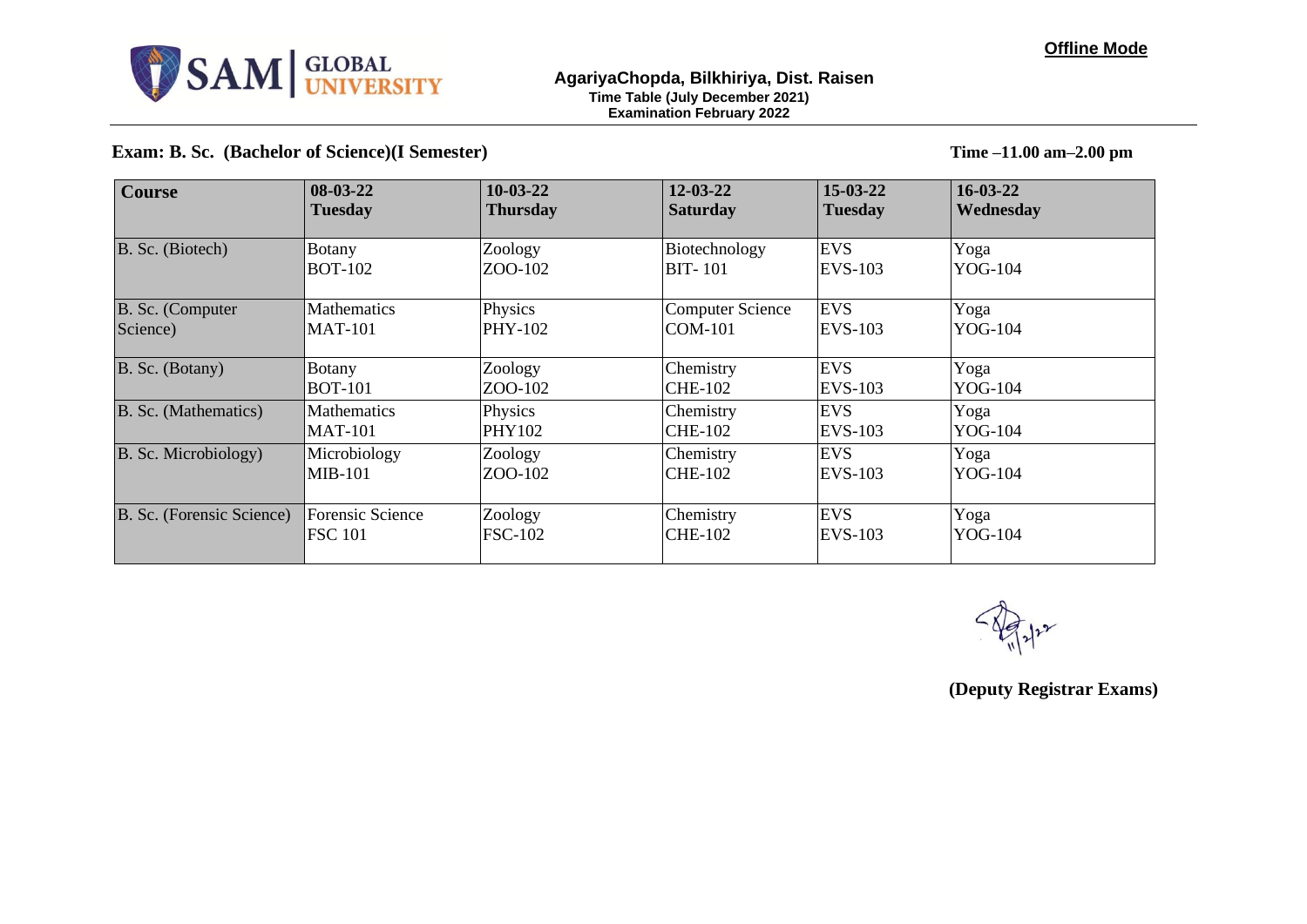

### **AgariyaChopda, Bilkhiriya, Dist. Raisen Time Table (July December 2021) Examination February 2022**

**Exam: B. Sc. (Bachelor of Science)(I Semester) Time –11.00 am–2.00 pm**

| <b>Course</b>             | $08-03-22$              | $10-03-22$      | $12 - 03 - 22$          | $15 - 03 - 22$ | $16 - 03 - 22$ |
|---------------------------|-------------------------|-----------------|-------------------------|----------------|----------------|
|                           | <b>Tuesday</b>          | <b>Thursday</b> | <b>Saturday</b>         | <b>Tuesday</b> | Wednesday      |
| B. Sc. (Biotech)          | Botany                  | Zoology         | Biotechnology           | <b>EVS</b>     | Yoga           |
|                           | <b>BOT-102</b>          | ZOO-102         | <b>BIT-101</b>          | EVS-103        | YOG-104        |
| B. Sc. (Computer          | <b>Mathematics</b>      | Physics         | <b>Computer Science</b> | <b>EVS</b>     | Yoga           |
| Science)                  | <b>MAT-101</b>          | PHY-102         | COM-101                 | EVS-103        | YOG-104        |
| B. Sc. (Botany)           | Botany                  | Zoology         | Chemistry               | <b>EVS</b>     | Yoga           |
|                           | <b>BOT-101</b>          | ZOO-102         | <b>CHE-102</b>          | EVS-103        | YOG-104        |
| B. Sc. (Mathematics)      | <b>Mathematics</b>      | Physics         | Chemistry               | <b>EVS</b>     | Yoga           |
|                           | <b>MAT-101</b>          | <b>PHY102</b>   | <b>CHE-102</b>          | <b>EVS-103</b> | YOG-104        |
| B. Sc. Microbiology)      | Microbiology            | Zoology         | Chemistry               | <b>EVS</b>     | Yoga           |
|                           | $MIB-101$               | ZOO-102         | <b>CHE-102</b>          | EVS-103        | YOG-104        |
| B. Sc. (Forensic Science) | <b>Forensic Science</b> | Zoology         | Chemistry               | <b>EVS</b>     | Yoga           |
|                           | <b>FSC 101</b>          | <b>FSC-102</b>  | <b>CHE-102</b>          | <b>EVS-103</b> | YOG-104        |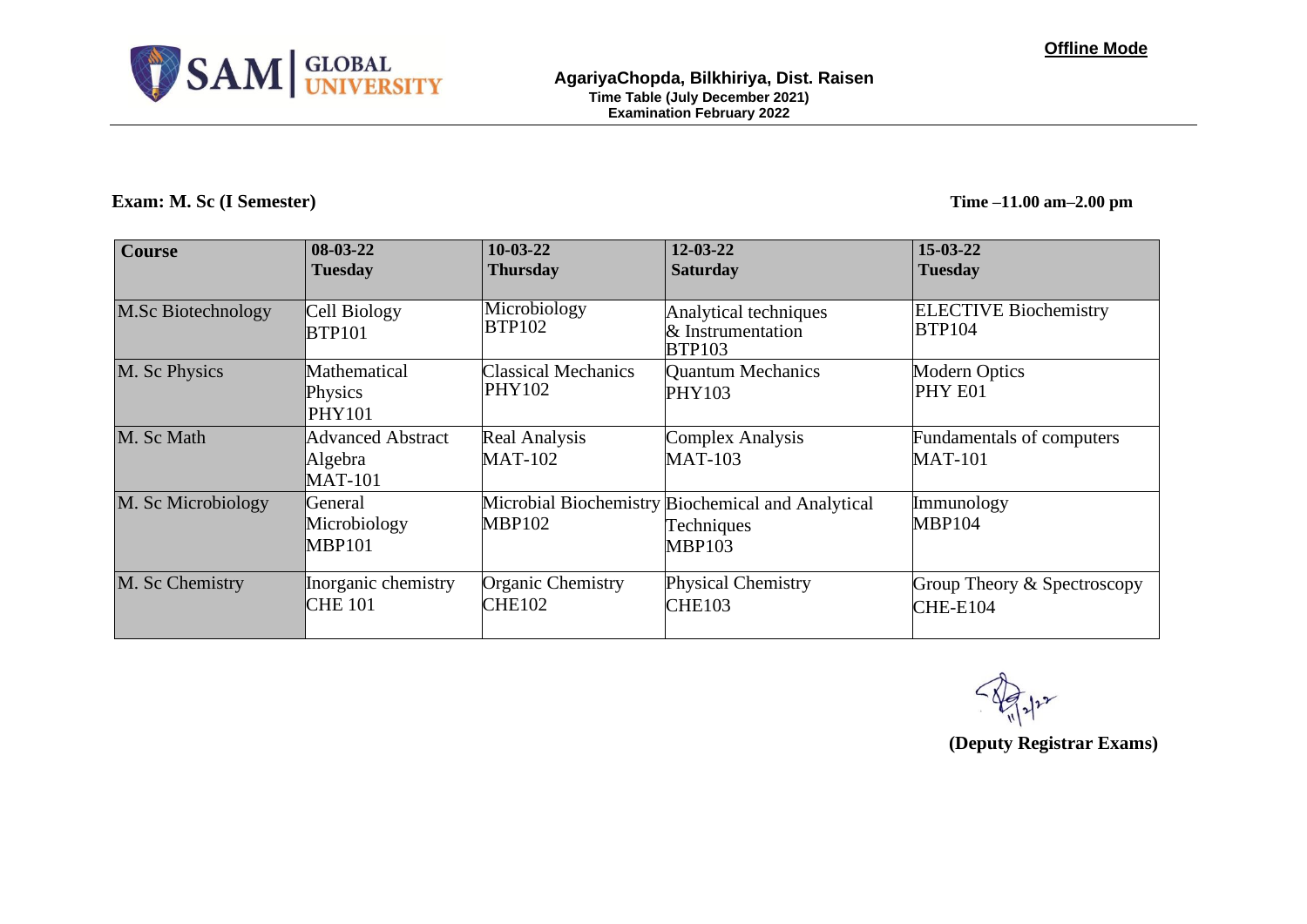

### **Exam: M. Sc (I Semester) Time –11.00 am–2.00 pm**

| <b>Course</b>             | $08-03-22$<br><b>Tuesday</b>                   | $10-03-22$<br><b>Thursday</b>               | $12 - 03 - 22$<br><b>Saturday</b>                                                | $15 - 03 - 22$<br><b>Tuesday</b>               |
|---------------------------|------------------------------------------------|---------------------------------------------|----------------------------------------------------------------------------------|------------------------------------------------|
| <b>M.Sc Biotechnology</b> | Cell Biology<br><b>BTP101</b>                  | Microbiology<br><b>BTP102</b>               | Analytical techniques<br>& Instrumentation<br><b>BTP103</b>                      | <b>ELECTIVE Biochemistry</b><br><b>BTP104</b>  |
| M. Sc Physics             | Mathematical<br>Physics<br><b>PHY101</b>       | <b>Classical Mechanics</b><br><b>PHY102</b> | <b>Quantum Mechanics</b><br><b>PHY103</b>                                        | <b>Modern Optics</b><br>PHY E01                |
| M. Sc Math                | Advanced Abstract<br>Algebra<br><b>MAT-101</b> | <b>Real Analysis</b><br><b>MAT-102</b>      | <b>Complex Analysis</b><br><b>MAT-103</b>                                        | Fundamentals of computers<br><b>MAT-101</b>    |
| M. Sc Microbiology        | General<br>Microbiology<br><b>MBP101</b>       | <b>MBP102</b>                               | Microbial Biochemistry Biochemical and Analytical<br>Techniques<br><b>MBP103</b> | Immunology<br><b>MBP104</b>                    |
| M. Sc Chemistry           | Inorganic chemistry<br><b>CHE 101</b>          | Organic Chemistry<br><b>CHE102</b>          | <b>Physical Chemistry</b><br><b>CHE103</b>                                       | Group Theory & Spectroscopy<br><b>CHE-E104</b> |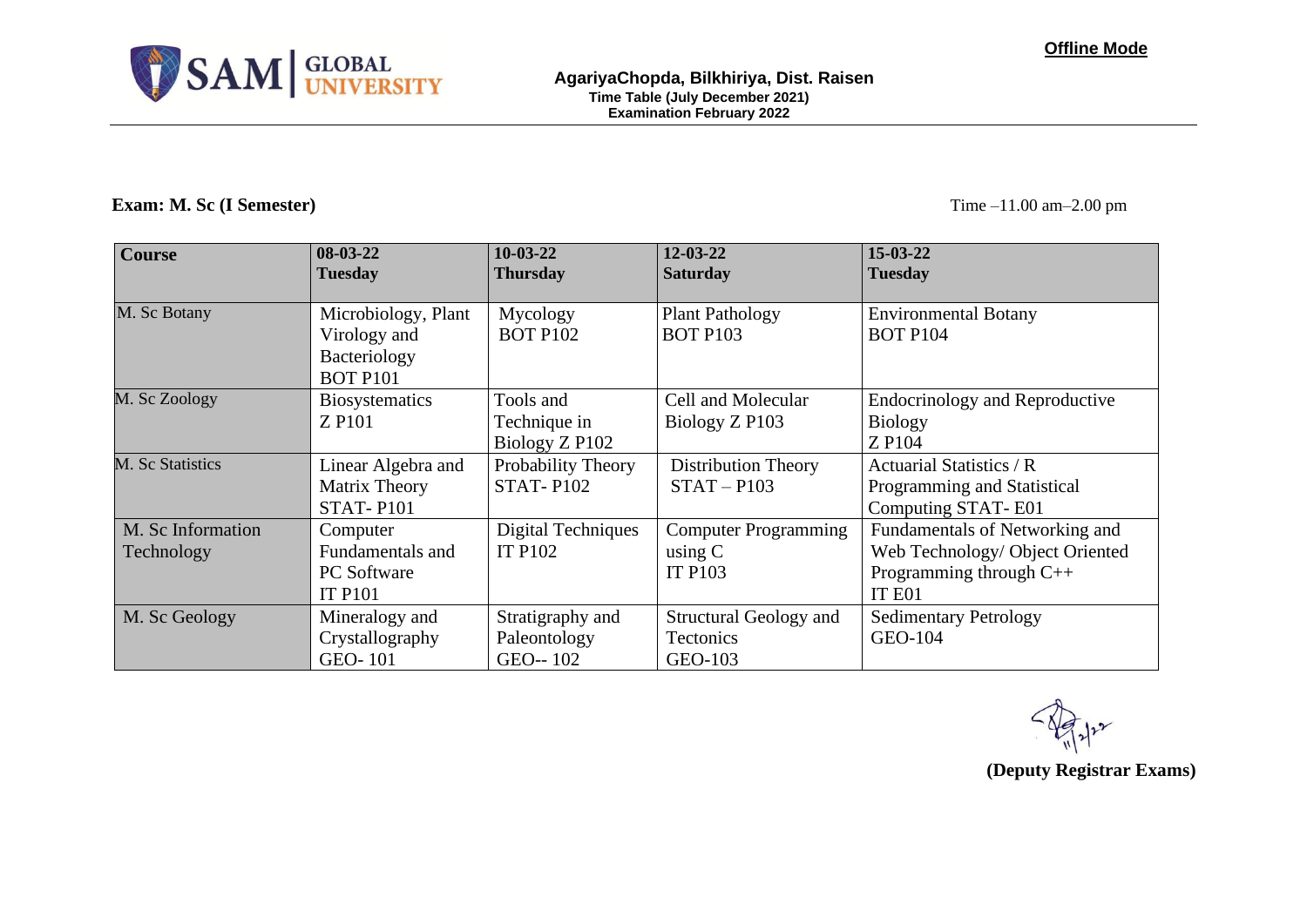

### **Exam:** M. Sc (I Semester) Time –11.00 am–2.00 pm

| <b>Course</b>                   | $08-03-22$<br><b>Tuesday</b>                                           | $10-03-22$<br><b>Thursday</b>                | $12 - 03 - 22$<br><b>Saturday</b>                          | $15 - 03 - 22$<br><b>Tuesday</b>                                                                         |
|---------------------------------|------------------------------------------------------------------------|----------------------------------------------|------------------------------------------------------------|----------------------------------------------------------------------------------------------------------|
| M. Sc Botany                    | Microbiology, Plant<br>Virology and<br>Bacteriology<br><b>BOT P101</b> | Mycology<br><b>BOT P102</b>                  | <b>Plant Pathology</b><br><b>BOT P103</b>                  | <b>Environmental Botany</b><br><b>BOT P104</b>                                                           |
| M. Sc Zoology                   | <b>Biosystematics</b><br>Z P <sub>101</sub>                            | Tools and<br>Technique in<br>Biology Z P102  | Cell and Molecular<br>Biology Z P103                       | <b>Endocrinology and Reproductive</b><br><b>Biology</b><br>Z P104                                        |
| M. Sc Statistics                | Linear Algebra and<br>Matrix Theory<br><b>STAT-P101</b>                | Probability Theory<br><b>STAT-P102</b>       | <b>Distribution Theory</b><br>$STAT - P103$                | Actuarial Statistics / R<br>Programming and Statistical<br>Computing STAT-E01                            |
| M. Sc Information<br>Technology | Computer<br><b>Fundamentals and</b><br>PC Software<br><b>IT P101</b>   | <b>Digital Techniques</b><br><b>IT P102</b>  | <b>Computer Programming</b><br>using $C$<br><b>IT P103</b> | Fundamentals of Networking and<br>Web Technology/ Object Oriented<br>Programming through $C++$<br>IT E01 |
| M. Sc Geology                   | Mineralogy and<br>Crystallography<br><b>GEO-101</b>                    | Stratigraphy and<br>Paleontology<br>GEO--102 | <b>Structural Geology and</b><br>Tectonics<br>GEO-103      | <b>Sedimentary Petrology</b><br>GEO-104                                                                  |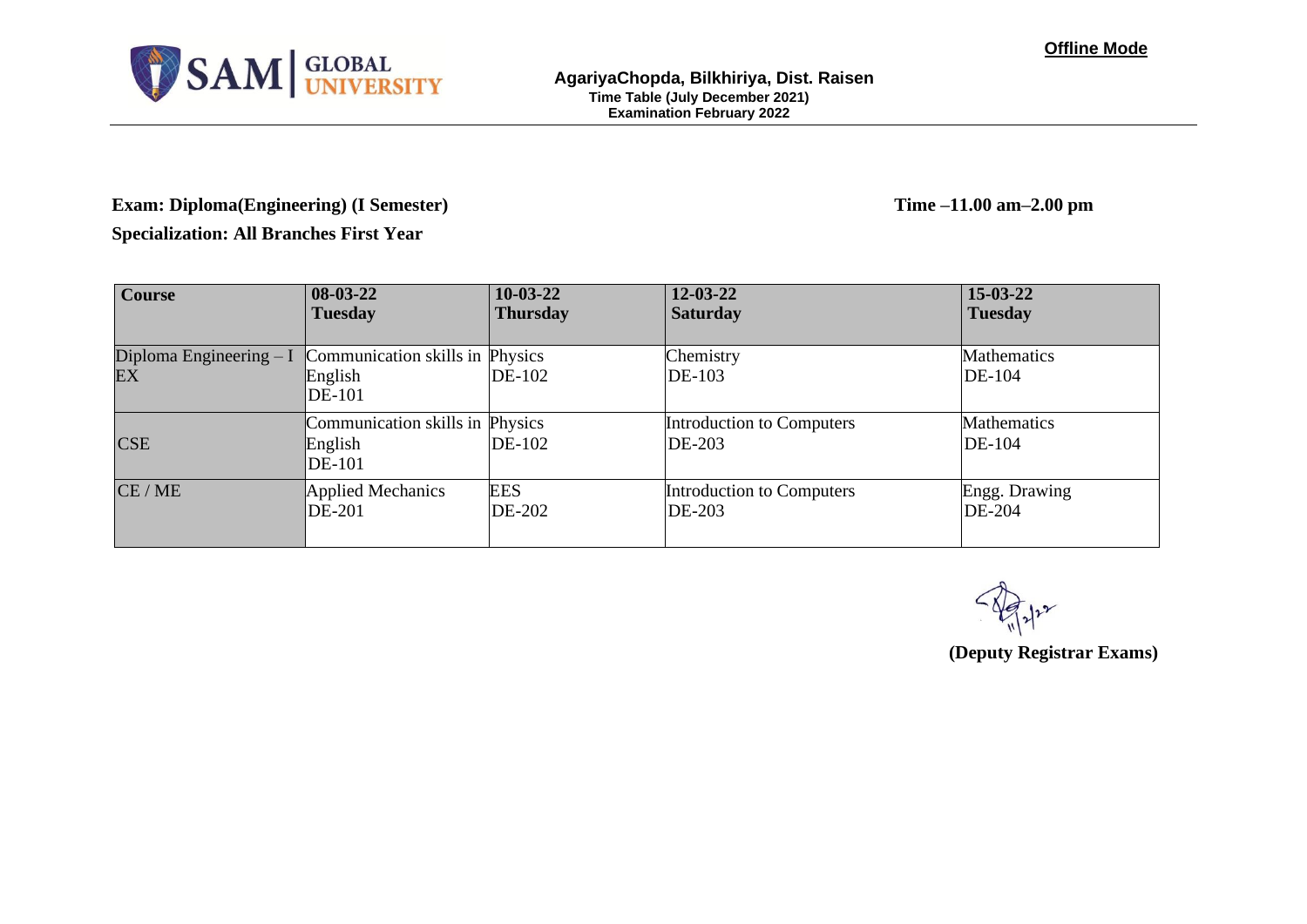

# **Exam: Diploma(Engineering) (I Semester) Time –11.00 am–2.00 pm**

**Specialization: All Branches First Year**

| <b>Course</b>                  | $08-03-22$                                           | $10-03-22$      | $12 - 03 - 22$                      | $15 - 03 - 22$               |
|--------------------------------|------------------------------------------------------|-----------------|-------------------------------------|------------------------------|
|                                | <b>Tuesday</b>                                       | <b>Thursday</b> | <b>Saturday</b>                     | <b>Tuesday</b>               |
| Diploma Engineering $-I$<br>EX | Communication skills in Physics<br>English<br>DE-101 | DE-102          | Chemistry<br><b>DE-103</b>          | <b>Mathematics</b><br>DE-104 |
| <b>CSE</b>                     | Communication skills in Physics<br>English<br>DE-101 | DE-102          | Introduction to Computers<br>DE-203 | Mathematics<br>DE-104        |
| CE/ME                          | <b>Applied Mechanics</b>                             | <b>EES</b>      | Introduction to Computers           | Engg. Drawing                |
|                                | <b>DE-201</b>                                        | DE-202          | DE-203                              | DE-204                       |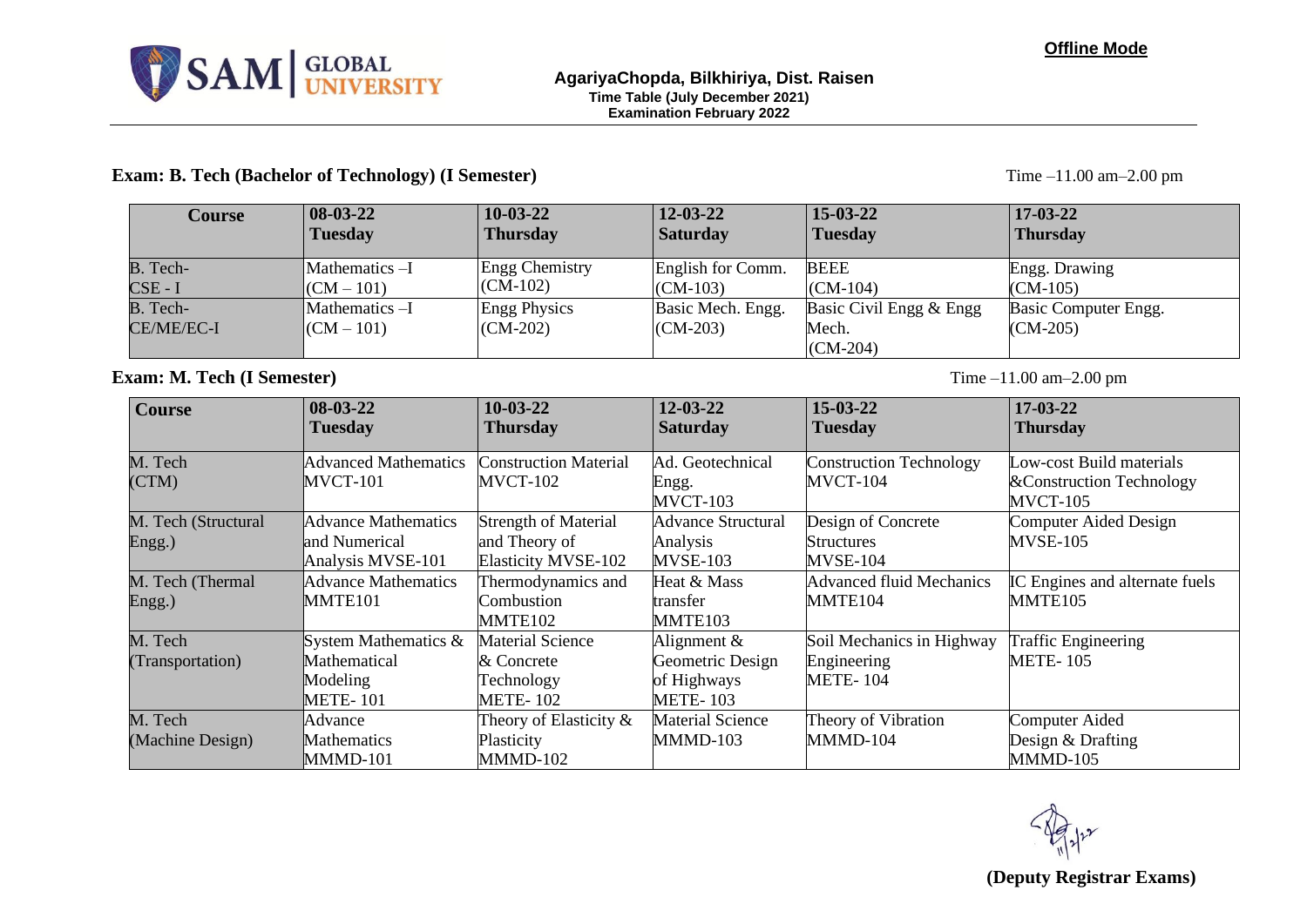

### **Exam: B. Tech (Bachelor of Technology) (I Semester)** Time –11.00 am–2.00 pm

| <b>Course</b>     | $ 08-03-22 $   | $10-03-22$            | $12 - 03 - 22$    | $15 - 03 - 22$          | $17-03-22$           |
|-------------------|----------------|-----------------------|-------------------|-------------------------|----------------------|
|                   | <b>Tuesday</b> | <b>Thursday</b>       | <b>Saturday</b>   | <b>Tuesday</b>          | <b>Thursday</b>      |
| B. Tech-          | Mathematics -I | <b>Engg Chemistry</b> | English for Comm. | <b>BEEE</b>             | Engg. Drawing        |
| $CSE - I$         | $(CM - 101)$   | $(CM-102)$            | $(CM-103)$        | $(CM-104)$              | $(CM-105)$           |
| B. Tech-          | Mathematics -I | <b>Engg Physics</b>   | Basic Mech. Engg. | Basic Civil Engg & Engg | Basic Computer Engg. |
| <b>CE/ME/EC-I</b> | $(CM - 101)$   | $(CM-202)$            | $(CM-203)$        | Mech.                   | $(CM-205)$           |
|                   |                |                       |                   | $(CM-204)$              |                      |

### **Exam: M. Tech (I Semester)** Time –11.00 am–2.00 pm

| <b>Course</b>                 | $08 - 03 - 22$<br><b>Tuesday</b>                                       | $10-03-22$<br><b>Thursday</b>                                              | $12 - 03 - 22$<br><b>Saturday</b>                                   | $15 - 03 - 22$<br><b>Tuesday</b>                      | $17 - 03 - 22$<br><b>Thursday</b>                                 |
|-------------------------------|------------------------------------------------------------------------|----------------------------------------------------------------------------|---------------------------------------------------------------------|-------------------------------------------------------|-------------------------------------------------------------------|
| M. Tech<br>(CTM)              | <b>Advanced Mathematics</b><br><b>MVCT-101</b>                         | <b>Construction Material</b><br><b>MVCT-102</b>                            | Ad. Geotechnical<br>Engg.<br>MVCT-103                               | <b>Construction Technology</b><br>MVCT-104            | Low-cost Build materials<br>& Construction Technology<br>MVCT-105 |
| M. Tech (Structural<br>Engg.) | <b>Advance Mathematics</b><br>land Numerical<br>Analysis MVSE-101      | <b>Strength of Material</b><br>and Theory of<br><b>Elasticity MVSE-102</b> | <b>Advance Structural</b><br>Analysis<br>MVSE-103                   | Design of Concrete<br><b>Structures</b><br>MVSE-104   | Computer Aided Design<br><b>MVSE-105</b>                          |
| M. Tech (Thermal<br>Engg.)    | Advance Mathematics<br>MMTE101                                         | Thermodynamics and<br>Combustion<br>MMTE <sub>102</sub>                    | Heat & Mass<br>transfer<br>MMTE103                                  | <b>Advanced fluid Mechanics</b><br>MMTE104            | IC Engines and alternate fuels<br>MMTE <sub>105</sub>             |
| M. Tech<br>(Transportation)   | System Mathematics $\&$<br>Mathematical<br>Modeling<br><b>METE-101</b> | <b>Material Science</b><br>& Concrete<br>Technology<br><b>METE-102</b>     | Alignment $&$<br>Geometric Design<br>of Highways<br><b>METE-103</b> | Soil Mechanics in Highway<br>Engineering<br>METE- 104 | <b>Traffic Engineering</b><br><b>METE-105</b>                     |
| M. Tech<br>(Machine Design)   | Advance<br>Mathematics<br>MMMD-101                                     | Theory of Elasticity $\&$<br>Plasticity<br>MMMD-102                        | <b>Material Science</b><br>MMMD-103                                 | Theory of Vibration<br>MMMD-104                       | Computer Aided<br>Design & Drafting<br>MMMD-105                   |